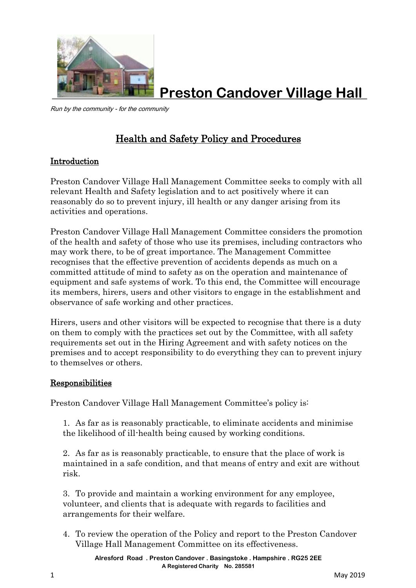

**Preston Candover Village Hall**

Run by the community - for the community

# Health and Safety Policy and Procedures

# Introduction

Preston Candover Village Hall Management Committee seeks to comply with all relevant Health and Safety legislation and to act positively where it can reasonably do so to prevent injury, ill health or any danger arising from its activities and operations.

Preston Candover Village Hall Management Committee considers the promotion of the health and safety of those who use its premises, including contractors who may work there, to be of great importance. The Management Committee recognises that the effective prevention of accidents depends as much on a committed attitude of mind to safety as on the operation and maintenance of equipment and safe systems of work. To this end, the Committee will encourage its members, hirers, users and other visitors to engage in the establishment and observance of safe working and other practices.

Hirers, users and other visitors will be expected to recognise that there is a duty on them to comply with the practices set out by the Committee, with all safety requirements set out in the Hiring Agreement and with safety notices on the premises and to accept responsibility to do everything they can to prevent injury to themselves or others.

# Responsibilities

Preston Candover Village Hall Management Committee's policy is:

1. As far as is reasonably practicable, to eliminate accidents and minimise the likelihood of ill-health being caused by working conditions.

2. As far as is reasonably practicable, to ensure that the place of work is maintained in a safe condition, and that means of entry and exit are without risk.

3. To provide and maintain a working environment for any employee, volunteer, and clients that is adequate with regards to facilities and arrangements for their welfare.

4. To review the operation of the Policy and report to the Preston Candover Village Hall Management Committee on its effectiveness.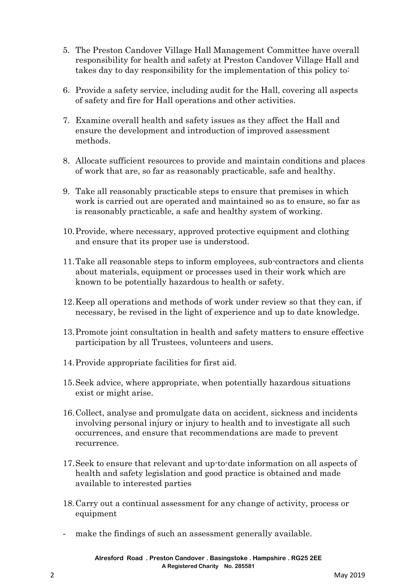- 5. The Preston Candover Village Hall Management Committee have overall responsibility for health and safety at Preston Candover Village Hall and takes day to day responsibility for the implementation of this policy to:
- 6. Provide a safety service, including audit for the Hall, covering all aspects of safety and fire for Hall operations and other activities.
- 7. Examine overall health and safety issues as they affect the Hall and ensure the development and introduction of improved assessment methods.
- 8. Allocate sufficient resources to provide and maintain conditions and places of work that are, so far as reasonably practicable, safe and healthy.
- 9. Take all reasonably practicable steps to ensure that premises in which work is carried out are operated and maintained so as to ensure, so far as is reasonably practicable, a safe and healthy system of working.
- 10.Provide, where necessary, approved protective equipment and clothing and ensure that its proper use is understood.
- 11.Take all reasonable steps to inform employees, sub-contractors and clients about materials, equipment or processes used in their work which are known to be potentially hazardous to health or safety.
- 12.Keep all operations and methods of work under review so that they can, if necessary, be revised in the light of experience and up to date knowledge.
- 13.Promote joint consultation in health and safety matters to ensure effective participation by all Trustees, volunteers and users.
- 14.Provide appropriate facilities for first aid.
- 15.Seek advice, where appropriate, when potentially hazardous situations exist or might arise.
- 16.Collect, analyse and promulgate data on accident, sickness and incidents involving personal injury or injury to health and to investigate all such occurrences, and ensure that recommendations are made to prevent recurrence.
- 17.Seek to ensure that relevant and up-to-date information on all aspects of health and safety legislation and good practice is obtained and made available to interested parties
- 18.Carry out a continual assessment for any change of activity, process or equipment
- make the findings of such an assessment generally available.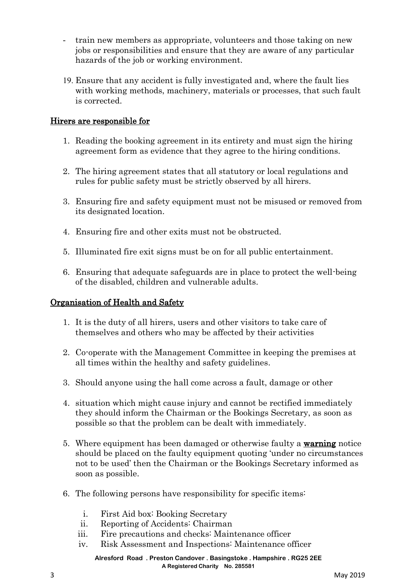- train new members as appropriate, volunteers and those taking on new jobs or responsibilities and ensure that they are aware of any particular hazards of the job or working environment.
- Ensure that any accident is fully investigated and, where the fault lies with working methods, machinery, materials or processes, that such fault is corrected.

## Hirers are responsible for

- 1. Reading the booking agreement in its entirety and must sign the hiring agreement form as evidence that they agree to the hiring conditions.
- 2. The hiring agreement states that all statutory or local regulations and rules for public safety must be strictly observed by all hirers.
- 3. Ensuring fire and safety equipment must not be misused or removed from its designated location.
- 4. Ensuring fire and other exits must not be obstructed.
- 5. Illuminated fire exit signs must be on for all public entertainment.
- 6. Ensuring that adequate safeguards are in place to protect the well-being of the disabled, children and vulnerable adults.

# Organisation of Health and Safety

- 1. It is the duty of all hirers, users and other visitors to take care of themselves and others who may be affected by their activities
- 2. Co-operate with the Management Committee in keeping the premises at all times within the healthy and safety guidelines.
- 3. Should anyone using the hall come across a fault, damage or other
- 4. situation which might cause injury and cannot be rectified immediately they should inform the Chairman or the Bookings Secretary, as soon as possible so that the problem can be dealt with immediately.
- 5. Where equipment has been damaged or otherwise faulty a warning notice should be placed on the faulty equipment quoting 'under no circumstances not to be used' then the Chairman or the Bookings Secretary informed as soon as possible.
- 6. The following persons have responsibility for specific items:
	- i. First Aid box: Booking Secretary
	- ii. Reporting of Accidents: Chairman
	- iii. Fire precautions and checks: Maintenance officer
	- iv. Risk Assessment and Inspections: Maintenance officer

**Alresford Road . Preston Candover . Basingstoke . Hampshire . RG25 2EE A Registered Charity No. 285581**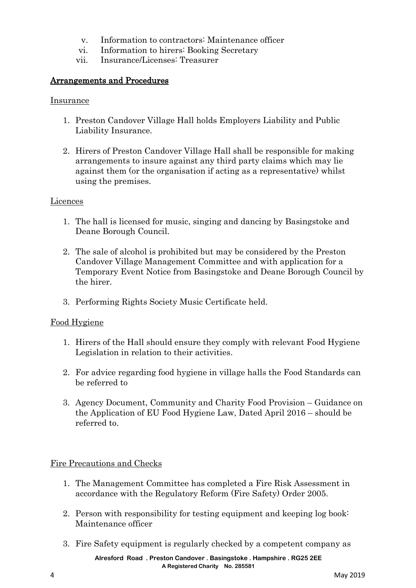- v. Information to contractors: Maintenance officer
- vi. Information to hirers: Booking Secretary
- vii. Insurance/Licenses: Treasurer

## Arrangements and Procedures

#### Insurance

- 1. Preston Candover Village Hall holds Employers Liability and Public Liability Insurance.
- 2. Hirers of Preston Candover Village Hall shall be responsible for making arrangements to insure against any third party claims which may lie against them (or the organisation if acting as a representative) whilst using the premises.

#### Licences

- 1. The hall is licensed for music, singing and dancing by Basingstoke and Deane Borough Council.
- 2. The sale of alcohol is prohibited but may be considered by the Preston Candover Village Management Committee and with application for a Temporary Event Notice from Basingstoke and Deane Borough Council by the hirer.
- 3. Performing Rights Society Music Certificate held.

#### Food Hygiene

- 1. Hirers of the Hall should ensure they comply with relevant Food Hygiene Legislation in relation to their activities.
- 2. For advice regarding food hygiene in village halls the Food Standards can be referred to
- 3. Agency Document, Community and Charity Food Provision Guidance on the Application of EU Food Hygiene Law, Dated April 2016 – should be referred to.

#### Fire Precautions and Checks

- 1. The Management Committee has completed a Fire Risk Assessment in accordance with the Regulatory Reform (Fire Safety) Order 2005.
- 2. Person with responsibility for testing equipment and keeping log book: Maintenance officer
- 3. Fire Safety equipment is regularly checked by a competent company as